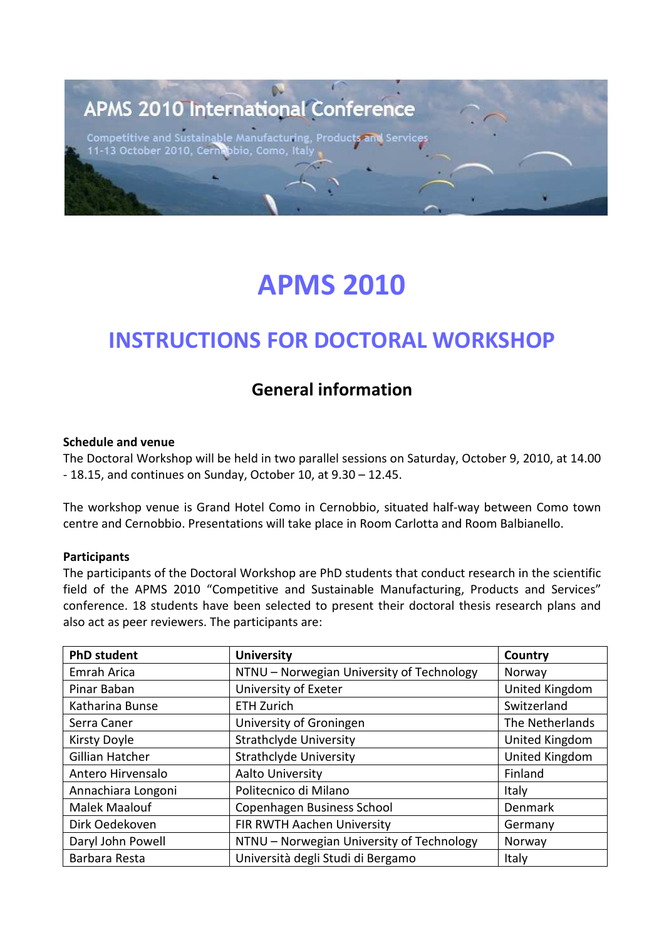## **APMS 2010 International Conference**

tainable Manufacturing, Product<mark>s</mark><br>, Cernabbio, Como, Italy **Competitive and Sus** 11-13 October 2010,

## **APMS 2010**

### **INSTRUCTIONS FOR DOCTORAL WORKSHOP**

### **General information**

#### **Schedule and venue**

The Doctoral Workshop will be held in two parallel sessions on Saturday, October 9, 2010, at 14.00 - 18.15, and continues on Sunday, October 10, at 9.30 – 12.45.

The workshop venue is Grand Hotel Como in Cernobbio, situated half-way between Como town centre and Cernobbio. Presentations will take place in Room Carlotta and Room Balbianello.

#### **Participants**

The participants of the Doctoral Workshop are PhD students that conduct research in the scientific field of the APMS 2010 "Competitive and Sustainable Manufacturing, Products and Services" conference. 18 students have been selected to present their doctoral thesis research plans and also act as peer reviewers. The participants are:

| <b>PhD student</b> | <b>University</b>                         | Country         |
|--------------------|-------------------------------------------|-----------------|
| Emrah Arica        | NTNU - Norwegian University of Technology | Norway          |
| Pinar Baban        | University of Exeter                      | United Kingdom  |
| Katharina Bunse    | <b>ETH Zurich</b>                         | Switzerland     |
| Serra Caner        | University of Groningen                   | The Netherlands |
| Kirsty Doyle       | <b>Strathclyde University</b>             | United Kingdom  |
| Gillian Hatcher    | <b>Strathclyde University</b>             | United Kingdom  |
| Antero Hirvensalo  | <b>Aalto University</b>                   | Finland         |
| Annachiara Longoni | Politecnico di Milano                     | Italy           |
| Malek Maalouf      | Copenhagen Business School                | Denmark         |
| Dirk Oedekoven     | FIR RWTH Aachen University                | Germany         |
| Daryl John Powell  | NTNU - Norwegian University of Technology | Norway          |
| Barbara Resta      | Università degli Studi di Bergamo         | Italy           |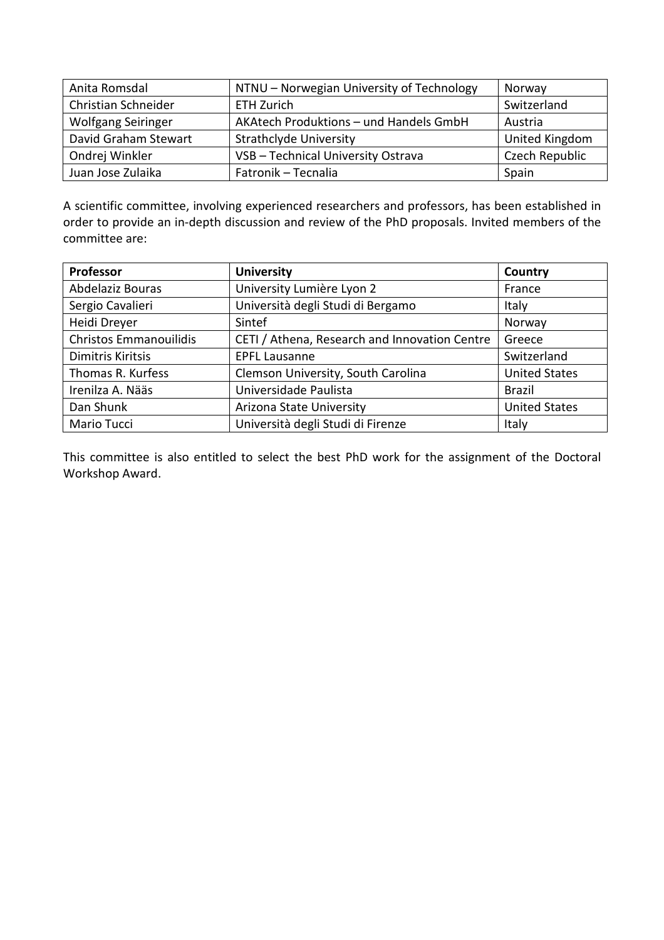| Anita Romsdal             | NTNU - Norwegian University of Technology | Norway         |
|---------------------------|-------------------------------------------|----------------|
| Christian Schneider       | ETH Zurich                                | Switzerland    |
| <b>Wolfgang Seiringer</b> | AKAtech Produktions - und Handels GmbH    | Austria        |
| David Graham Stewart      | <b>Strathclyde University</b>             | United Kingdom |
| Ondrej Winkler            | VSB - Technical University Ostrava        | Czech Republic |
| Juan Jose Zulaika         | Fatronik - Tecnalia                       | Spain          |

A scientific committee, involving experienced researchers and professors, has been established in order to provide an in-depth discussion and review of the PhD proposals. Invited members of the committee are:

| Professor                     | <b>University</b>                             | Country              |
|-------------------------------|-----------------------------------------------|----------------------|
| Abdelaziz Bouras              | University Lumière Lyon 2                     | France               |
| Sergio Cavalieri              | Università degli Studi di Bergamo             | Italy                |
| Heidi Dreyer                  | Sintef                                        | Norway               |
| <b>Christos Emmanouilidis</b> | CETI / Athena, Research and Innovation Centre | Greece               |
| Dimitris Kiritsis             | <b>EPFL Lausanne</b>                          | Switzerland          |
| Thomas R. Kurfess             | Clemson University, South Carolina            | <b>United States</b> |
| Irenilza A. Nääs              | Universidade Paulista                         | <b>Brazil</b>        |
| Dan Shunk                     | Arizona State University                      | <b>United States</b> |
| Mario Tucci                   | Università degli Studi di Firenze             | Italy                |

This committee is also entitled to select the best PhD work for the assignment of the Doctoral Workshop Award.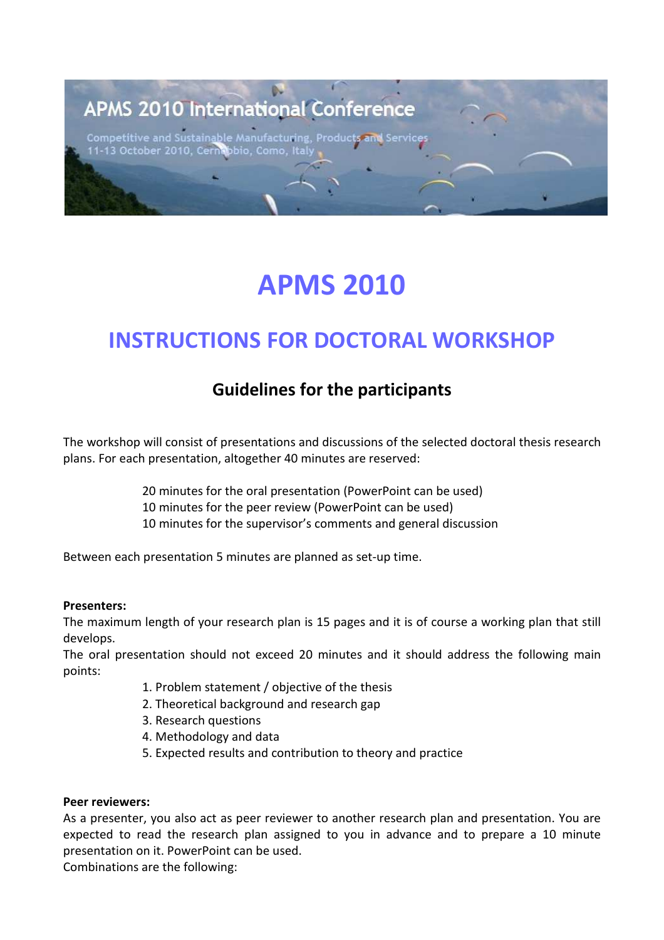## **APMS 2010 International Conference**

Competitive and Sustainable Manufacturing, Produc 11-13 October 2010, Cei obio, Como,

# **APMS 2010**

### **INSTRUCTIONS FOR DOCTORAL WORKSHOP**

### **Guidelines for the participants**

The workshop will consist of presentations and discussions of the selected doctoral thesis research plans. For each presentation, altogether 40 minutes are reserved:

- 20 minutes for the oral presentation (PowerPoint can be used)
- 10 minutes for the peer review (PowerPoint can be used)
- 10 minutes for the supervisor's comments and general discussion

Between each presentation 5 minutes are planned as set-up time.

#### **Presenters:**

The maximum length of your research plan is 15 pages and it is of course a working plan that still develops.

The oral presentation should not exceed 20 minutes and it should address the following main points:

- 1. Problem statement / objective of the thesis
- 2. Theoretical background and research gap
- 3. Research questions
- 4. Methodology and data
- 5. Expected results and contribution to theory and practice

#### **Peer reviewers:**

As a presenter, you also act as peer reviewer to another research plan and presentation. You are expected to read the research plan assigned to you in advance and to prepare a 10 minute presentation on it. PowerPoint can be used.

Combinations are the following: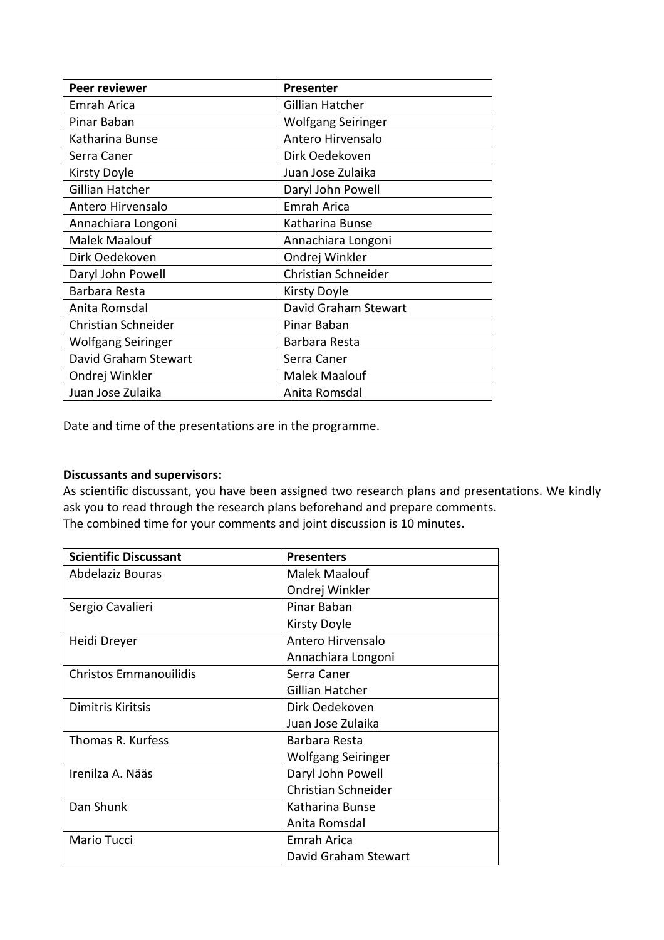| Peer reviewer        | <b>Presenter</b>     |
|----------------------|----------------------|
| Emrah Arica          | Gillian Hatcher      |
| Pinar Baban          | Wolfgang Seiringer   |
| Katharina Bunse      | Antero Hirvensalo    |
| Serra Caner          | Dirk Oedekoven       |
| Kirsty Doyle         | Juan Jose Zulaika    |
| Gillian Hatcher      | Daryl John Powell    |
| Antero Hirvensalo    | Emrah Arica          |
| Annachiara Longoni   | Katharina Bunse      |
| <b>Malek Maalouf</b> | Annachiara Longoni   |
| Dirk Oedekoven       | Ondrej Winkler       |
| Daryl John Powell    | Christian Schneider  |
| Barbara Resta        | Kirsty Doyle         |
| Anita Romsdal        | David Graham Stewart |
| Christian Schneider  | Pinar Baban          |
| Wolfgang Seiringer   | Barbara Resta        |
| David Graham Stewart | Serra Caner          |
| Ondrej Winkler       | <b>Malek Maalouf</b> |
| Juan Jose Zulaika    | Anita Romsdal        |

Date and time of the presentations are in the programme.

#### **Discussants and supervisors:**

As scientific discussant, you have been assigned two research plans and presentations. We kindly ask you to read through the research plans beforehand and prepare comments. The combined time for your comments and joint discussion is 10 minutes.

| <b>Scientific Discussant</b>  | <b>Presenters</b>    |
|-------------------------------|----------------------|
| Abdelaziz Bouras              | Malek Maalouf        |
|                               | Ondrej Winkler       |
| Sergio Cavalieri              | Pinar Baban          |
|                               | <b>Kirsty Doyle</b>  |
| Heidi Dreyer                  | Antero Hirvensalo    |
|                               | Annachiara Longoni   |
| <b>Christos Emmanouilidis</b> | Serra Caner          |
|                               | Gillian Hatcher      |
| Dimitris Kiritsis             | Dirk Oedekoven       |
|                               | Juan Jose Zulaika    |
| Thomas R. Kurfess             | Barbara Resta        |
|                               | Wolfgang Seiringer   |
| Irenilza A. Nääs              | Daryl John Powell    |
|                               | Christian Schneider  |
| Dan Shunk                     | Katharina Bunse      |
|                               | Anita Romsdal        |
| Mario Tucci                   | <b>Emrah Arica</b>   |
|                               | David Graham Stewart |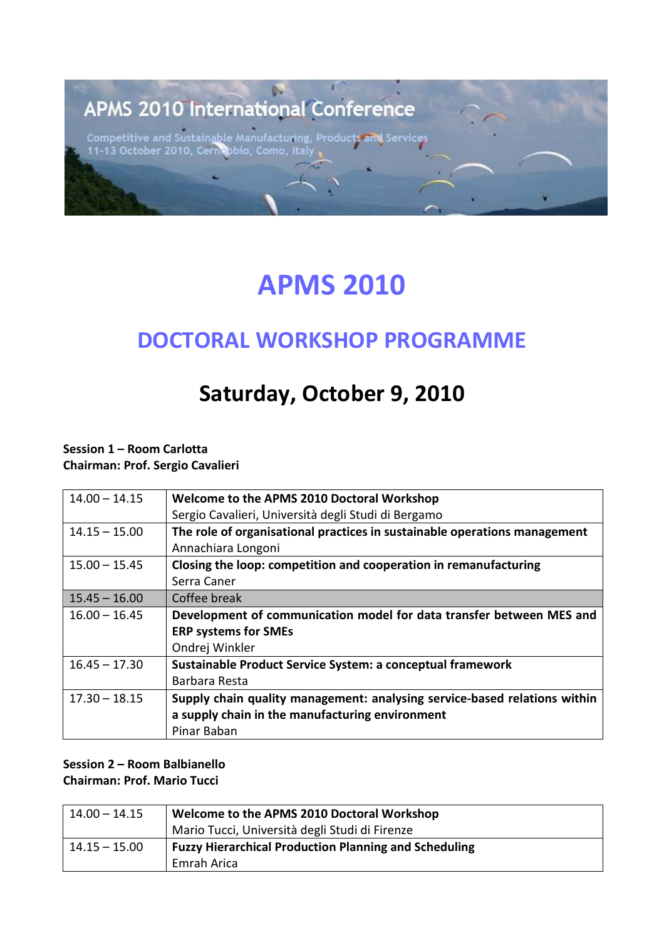## **APMS 2010 International Conference**

Competitive and Sustainable Manufacturing, Products and<br>11-13 October 2010, Cernabbio, Como, Italy | Service

# **APMS 2010**

### **DOCTORAL WORKSHOP PROGRAMME**

## **Saturday, October 9, 2010**

**Session 1 – Room Carlotta Chairman: Prof. Sergio Cavalieri** 

| $14.00 - 14.15$ | Welcome to the APMS 2010 Doctoral Workshop                                |
|-----------------|---------------------------------------------------------------------------|
|                 | Sergio Cavalieri, Università degli Studi di Bergamo                       |
| $14.15 - 15.00$ | The role of organisational practices in sustainable operations management |
|                 | Annachiara Longoni                                                        |
| $15.00 - 15.45$ | Closing the loop: competition and cooperation in remanufacturing          |
|                 | Serra Caner                                                               |
| $15.45 - 16.00$ | Coffee break                                                              |
| $16.00 - 16.45$ | Development of communication model for data transfer between MES and      |
|                 | <b>ERP systems for SMEs</b>                                               |
|                 | Ondrej Winkler                                                            |
| $16.45 - 17.30$ | Sustainable Product Service System: a conceptual framework                |
|                 | Barbara Resta                                                             |
| $17.30 - 18.15$ | Supply chain quality management: analysing service-based relations within |
|                 | a supply chain in the manufacturing environment                           |
|                 | Pinar Baban                                                               |

#### **Session 2 – Room Balbianello Chairman: Prof. Mario Tucci**

| $14.00 - 14.15$ | Welcome to the APMS 2010 Doctoral Workshop                   |  |
|-----------------|--------------------------------------------------------------|--|
|                 | Mario Tucci, Università degli Studi di Firenze               |  |
| 14.15 – 15.00   | <b>Fuzzy Hierarchical Production Planning and Scheduling</b> |  |
|                 | Emrah Arica                                                  |  |